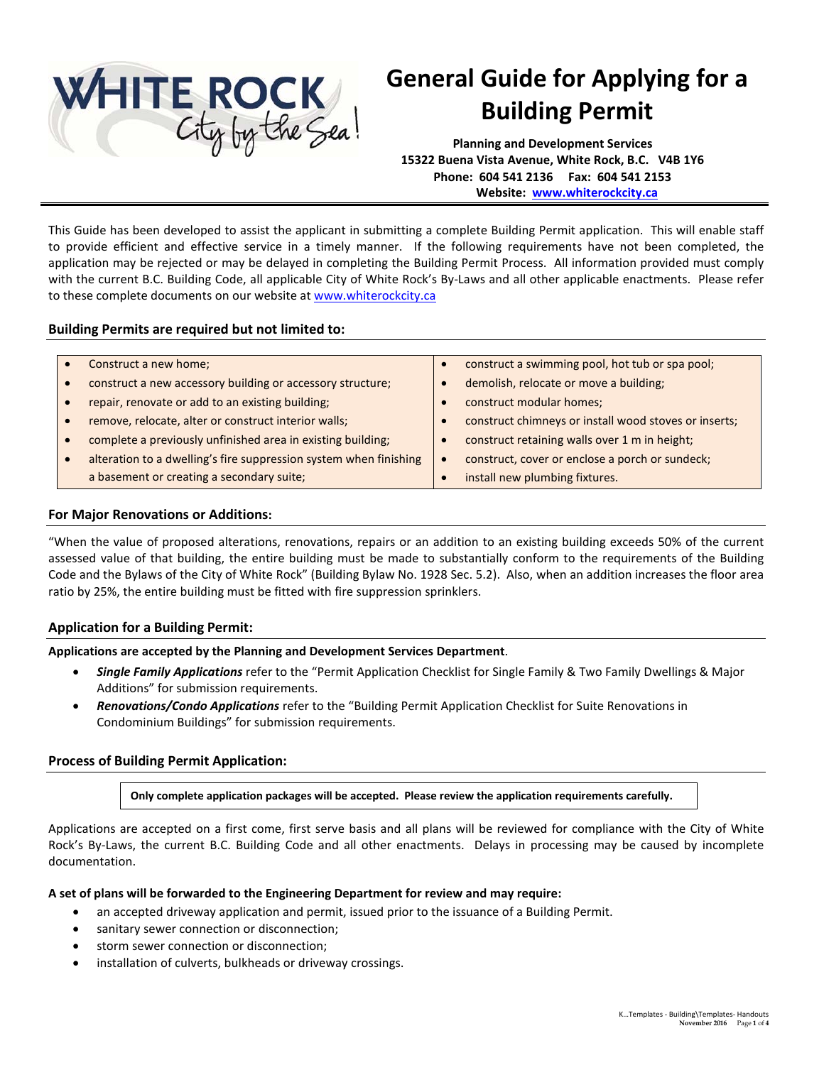

# **General Guide for Applying for a Building Permit**

**Planning and Development Services 15322 Buena Vista Avenue, White Rock, B.C. V4B 1Y6 Phone: 604 541 2136 Fax: 604 541 2153 Website: [www.whiterockcity.ca](http://www.whiterockcity.ca/)**

This Guide has been developed to assist the applicant in submitting a complete Building Permit application. This will enable staff to provide efficient and effective service in a timely manner. If the following requirements have not been completed, the application may be rejected or may be delayed in completing the Building Permit Process. All information provided must comply with the current B.C. Building Code, all applicable City of White Rock's By-Laws and all other applicable enactments. Please refer to these complete documents on our website a[t www.whiterockcity.ca](http://www.whiterockcity.ca/)

# **Building Permits are required but not limited to:**

| Construct a new home;                                             | construct a swimming pool, hot tub or spa pool;       |
|-------------------------------------------------------------------|-------------------------------------------------------|
| construct a new accessory building or accessory structure;        | demolish, relocate or move a building;                |
| repair, renovate or add to an existing building;                  | construct modular homes;                              |
| remove, relocate, alter or construct interior walls;              | construct chimneys or install wood stoves or inserts; |
| complete a previously unfinished area in existing building;       | construct retaining walls over 1 m in height;         |
| alteration to a dwelling's fire suppression system when finishing | construct, cover or enclose a porch or sundeck;       |
| a basement or creating a secondary suite;                         | install new plumbing fixtures.                        |

## **For Major Renovations or Additions:**

"When the value of proposed alterations, renovations, repairs or an addition to an existing building exceeds 50% of the current assessed value of that building, the entire building must be made to substantially conform to the requirements of the Building Code and the Bylaws of the City of White Rock" (Building Bylaw No. 1928 Sec. 5.2). Also, when an addition increases the floor area ratio by 25%, the entire building must be fitted with fire suppression sprinklers.

## **Application for a Building Permit:**

**Applications are accepted by the Planning and Development Services Department**.

- *Single Family Applications* refer to the "Permit Application Checklist for Single Family & Two Family Dwellings & Major Additions" for submission requirements.
- *Renovations/Condo Applications* refer to the "Building Permit Application Checklist for Suite Renovations in Condominium Buildings" for submission requirements.

# **Process of Building Permit Application:**

**Only complete application packages will be accepted. Please review the application requirements carefully.** 

Applications are accepted on a first come, first serve basis and all plans will be reviewed for compliance with the City of White Rock's By-Laws, the current B.C. Building Code and all other enactments. Delays in processing may be caused by incomplete documentation.

## **A set of plans will be forwarded to the Engineering Department for review and may require:**

- an accepted driveway application and permit, issued prior to the issuance of a Building Permit.
- sanitary sewer connection or disconnection;
- storm sewer connection or disconnection;
- installation of culverts, bulkheads or driveway crossings.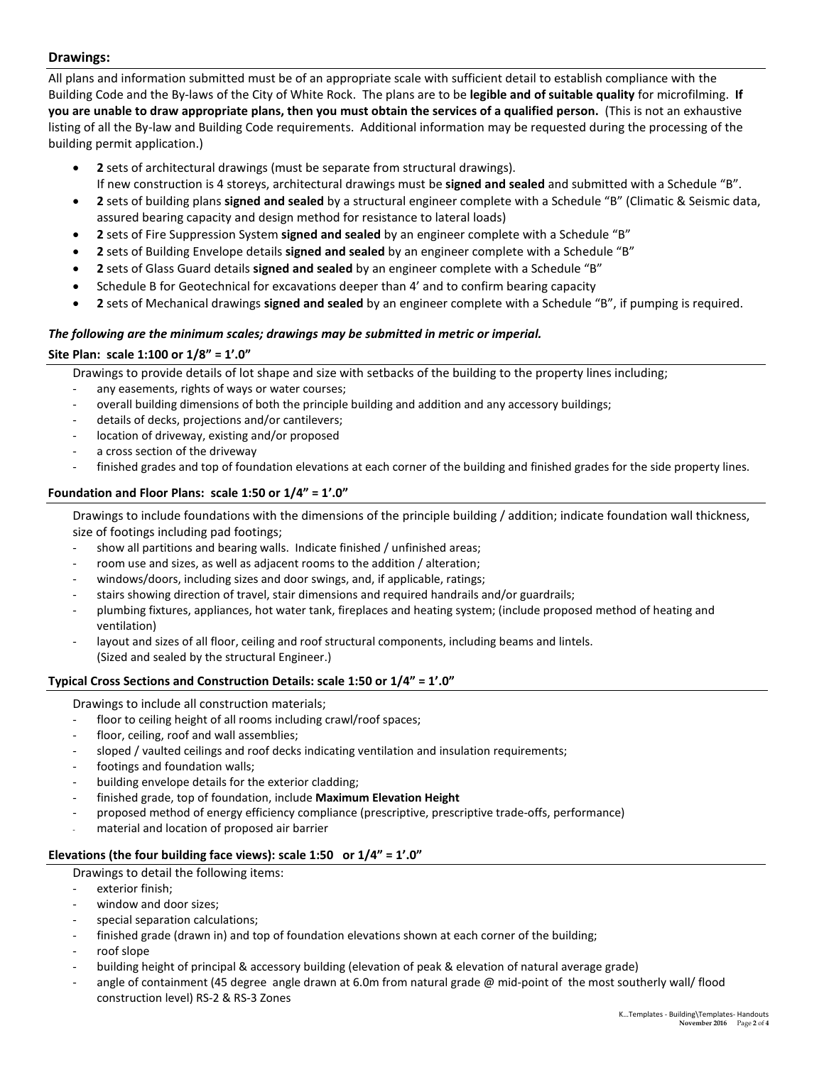# **Drawings:**

All plans and information submitted must be of an appropriate scale with sufficient detail to establish compliance with the Building Code and the By-laws of the City of White Rock. The plans are to be **legible and of suitable quality** for microfilming. **If you are unable to draw appropriate plans, then you must obtain the services of a qualified person.** (This is not an exhaustive listing of all the By-law and Building Code requirements. Additional information may be requested during the processing of the building permit application.)

- **2** sets of architectural drawings (must be separate from structural drawings). If new construction is 4 storeys, architectural drawings must be **signed and sealed** and submitted with a Schedule "B".
- **2** sets of building plans **signed and sealed** by a structural engineer complete with a Schedule "B" (Climatic & Seismic data, assured bearing capacity and design method for resistance to lateral loads)
- **2** sets of Fire Suppression System **signed and sealed** by an engineer complete with a Schedule "B"
- **2** sets of Building Envelope details **signed and sealed** by an engineer complete with a Schedule "B"
- **2** sets of Glass Guard details **signed and sealed** by an engineer complete with a Schedule "B"
- Schedule B for Geotechnical for excavations deeper than 4' and to confirm bearing capacity
- **2** sets of Mechanical drawings **signed and sealed** by an engineer complete with a Schedule "B", if pumping is required.

#### *The following are the minimum scales; drawings may be submitted in metric or imperial.*

## **Site Plan: scale 1:100 or 1/8" = 1'.0"**

Drawings to provide details of lot shape and size with setbacks of the building to the property lines including;

- any easements, rights of ways or water courses;
- overall building dimensions of both the principle building and addition and any accessory buildings;
- details of decks, projections and/or cantilevers;
- location of driveway, existing and/or proposed
- a cross section of the driveway
- finished grades and top of foundation elevations at each corner of the building and finished grades for the side property lines.

## **Foundation and Floor Plans: scale 1:50 or 1/4" = 1'.0"**

Drawings to include foundations with the dimensions of the principle building / addition; indicate foundation wall thickness, size of footings including pad footings;

- show all partitions and bearing walls. Indicate finished / unfinished areas;
- room use and sizes, as well as adjacent rooms to the addition / alteration;
- windows/doors, including sizes and door swings, and, if applicable, ratings;
- stairs showing direction of travel, stair dimensions and required handrails and/or guardrails;
- plumbing fixtures, appliances, hot water tank, fireplaces and heating system; (include proposed method of heating and ventilation)
- layout and sizes of all floor, ceiling and roof structural components, including beams and lintels. (Sized and sealed by the structural Engineer.)

## **Typical Cross Sections and Construction Details: scale 1:50 or 1/4" = 1'.0"**

Drawings to include all construction materials;

- floor to ceiling height of all rooms including crawl/roof spaces;
- floor, ceiling, roof and wall assemblies:
- sloped / vaulted ceilings and roof decks indicating ventilation and insulation requirements;
- footings and foundation walls;
- building envelope details for the exterior cladding;
- finished grade, top of foundation, include **Maximum Elevation Height**
- proposed method of energy efficiency compliance (prescriptive, prescriptive trade-offs, performance)
- material and location of proposed air barrier

## **Elevations (the four building face views): scale 1:50 or 1/4" = 1'.0"**

Drawings to detail the following items:

- exterior finish;
- window and door sizes;
- special separation calculations:
- finished grade (drawn in) and top of foundation elevations shown at each corner of the building;
- roof slope
- building height of principal & accessory building (elevation of peak & elevation of natural average grade)
- angle of containment (45 degree angle drawn at 6.0m from natural grade  $@$  mid-point of the most southerly wall/ flood construction level) RS-2 & RS-3 Zones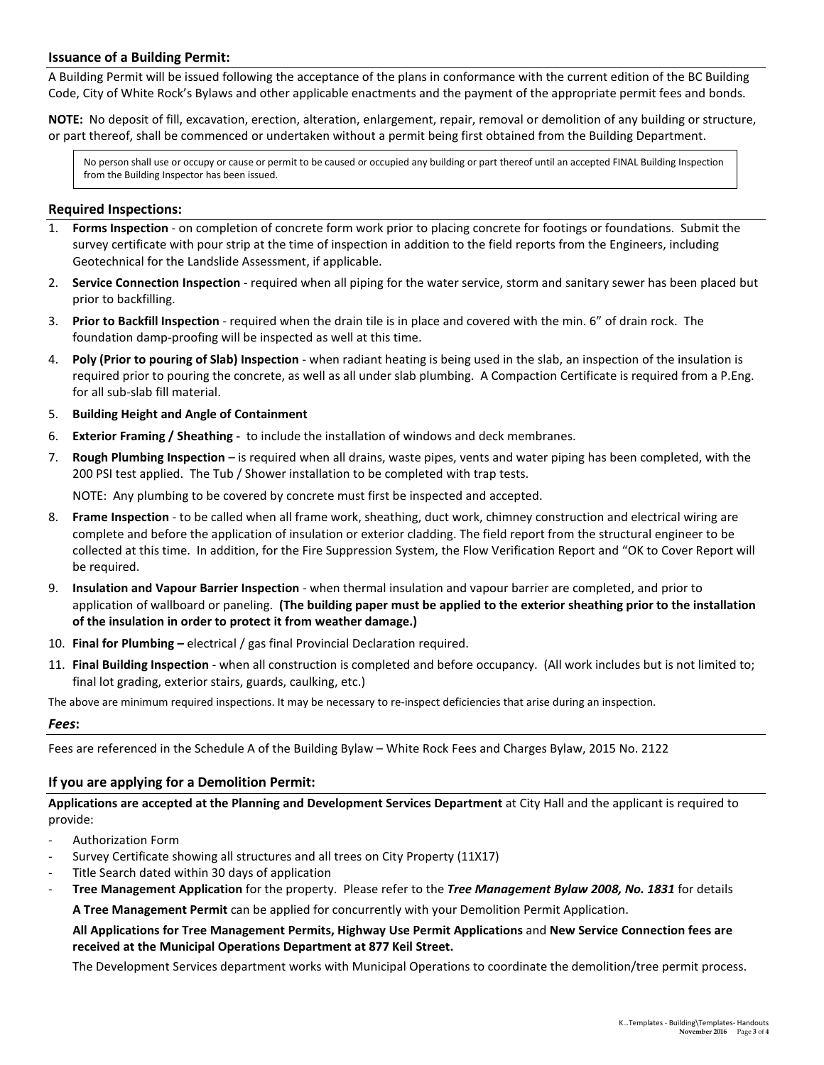## **Issuance of a Building Permit:**

A Building Permit will be issued following the acceptance of the plans in conformance with the current edition of the BC Building Code, City of White Rock's Bylaws and other applicable enactments and the payment of the appropriate permit fees and bonds.

**NOTE:** No deposit of fill, excavation, erection, alteration, enlargement, repair, removal or demolition of any building or structure, or part thereof, shall be commenced or undertaken without a permit being first obtained from the Building Department.

No person shall use or occupy or cause or permit to be caused or occupied any building or part thereof until an accepted FINAL Building Inspection from the Building Inspector has been issued.

#### **Required Inspections:**

- 1. **Forms Inspection** on completion of concrete form work prior to placing concrete for footings or foundations. Submit the survey certificate with pour strip at the time of inspection in addition to the field reports from the Engineers, including Geotechnical for the Landslide Assessment, if applicable.
- 2. **Service Connection Inspection** required when all piping for the water service, storm and sanitary sewer has been placed but prior to backfilling.
- 3. **Prior to Backfill Inspection** required when the drain tile is in place and covered with the min. 6" of drain rock. The foundation damp-proofing will be inspected as well at this time.
- 4. **Poly (Prior to pouring of Slab) Inspection** when radiant heating is being used in the slab, an inspection of the insulation is required prior to pouring the concrete, as well as all under slab plumbing. A Compaction Certificate is required from a P.Eng. for all sub-slab fill material.
- 5. **Building Height and Angle of Containment**
- 6. **Exterior Framing / Sheathing -** to include the installation of windows and deck membranes.
- 7. **Rough Plumbing Inspection** is required when all drains, waste pipes, vents and water piping has been completed, with the 200 PSI test applied. The Tub / Shower installation to be completed with trap tests.

NOTE: Any plumbing to be covered by concrete must first be inspected and accepted.

- 8. **Frame Inspection** to be called when all frame work, sheathing, duct work, chimney construction and electrical wiring are complete and before the application of insulation or exterior cladding. The field report from the structural engineer to be collected at this time. In addition, for the Fire Suppression System, the Flow Verification Report and "OK to Cover Report will be required.
- 9. **Insulation and Vapour Barrier Inspection** when thermal insulation and vapour barrier are completed, and prior to application of wallboard or paneling. **(The building paper must be applied to the exterior sheathing prior to the installation of the insulation in order to protect it from weather damage.)**
- 10. **Final for Plumbing –** electrical / gas final Provincial Declaration required.
- 11. **Final Building Inspection** when all construction is completed and before occupancy. (All work includes but is not limited to; final lot grading, exterior stairs, guards, caulking, etc.)

The above are minimum required inspections. It may be necessary to re-inspect deficiencies that arise during an inspection.

#### *Fees***:**

Fees are referenced in the Schedule A of the Building Bylaw – White Rock Fees and Charges Bylaw, 2015 No. 2122

## **If you are applying for a Demolition Permit:**

**Applications are accepted at the Planning and Development Services Department** at City Hall and the applicant is required to provide:

- Authorization Form
- Survey Certificate showing all structures and all trees on City Property (11X17)
- Title Search dated within 30 days of application
- **Tree Management Application** for the property. Please refer to the *Tree Management Bylaw 2008, No. 1831* for details

**A Tree Management Permit** can be applied for concurrently with your Demolition Permit Application.

**All Applications for Tree Management Permits, Highway Use Permit Applications** and **New Service Connection fees are received at the Municipal Operations Department at 877 Keil Street.** 

The Development Services department works with Municipal Operations to coordinate the demolition/tree permit process.